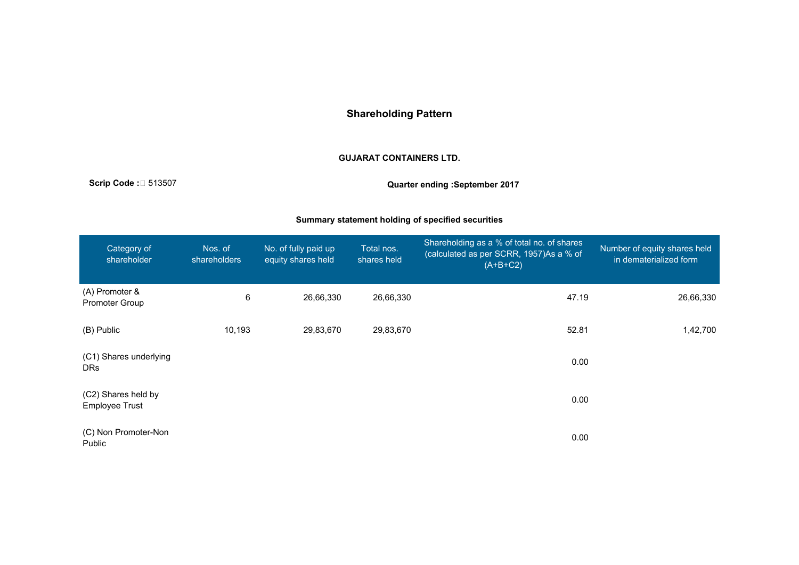# **Shareholding Pattern**

#### **GUJARAT CONTAINERS LTD.**

**Scrip Code :**聽 513507 **Quarter ending :September 2017**

## **Summary statement holding of specified securities**

| Category of<br>shareholder                   | Nos. of<br>shareholders | No. of fully paid up<br>equity shares held | Total nos.<br>shares held | Shareholding as a % of total no. of shares<br>(calculated as per SCRR, 1957)As a % of<br>$(A+B+C2)$ | Number of equity shares held<br>in dematerialized form |
|----------------------------------------------|-------------------------|--------------------------------------------|---------------------------|-----------------------------------------------------------------------------------------------------|--------------------------------------------------------|
| (A) Promoter &<br>Promoter Group             | 6                       | 26,66,330                                  | 26,66,330                 | 47.19                                                                                               | 26,66,330                                              |
| (B) Public                                   | 10,193                  | 29,83,670                                  | 29,83,670                 | 52.81                                                                                               | 1,42,700                                               |
| (C1) Shares underlying<br><b>DRs</b>         |                         |                                            |                           | 0.00                                                                                                |                                                        |
| (C2) Shares held by<br><b>Employee Trust</b> |                         |                                            |                           | 0.00                                                                                                |                                                        |
| (C) Non Promoter-Non<br>Public               |                         |                                            |                           | 0.00                                                                                                |                                                        |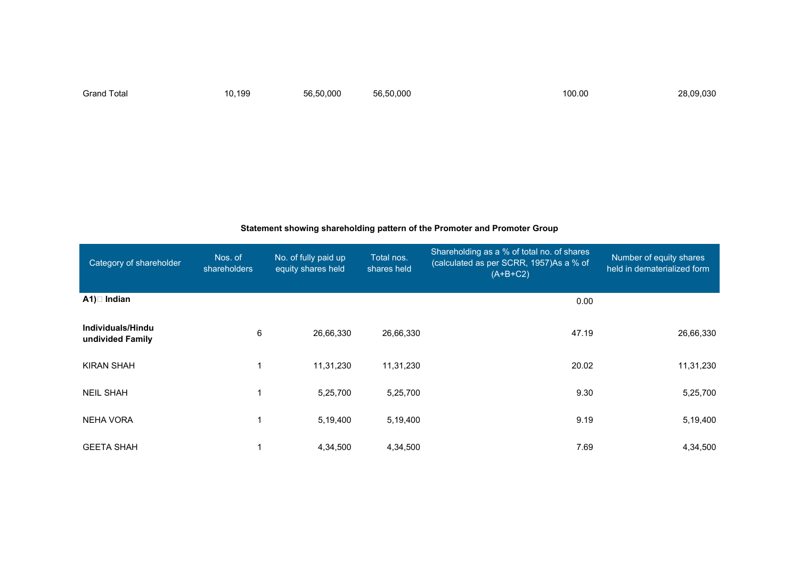Grand Total 10,199 56,50,000 56,50,000 100.00 28,09,030

#### **Statement showing shareholding pattern of the Promoter and Promoter Group**

| Category of shareholder               | Nos. of<br><b>shareholders</b> | No. of fully paid up<br>equity shares held | Total nos.<br>shares held | Shareholding as a % of total no. of shares<br>(calculated as per SCRR, 1957)As a % of<br>$(A+B+C2)$ | Number of equity shares<br>held in dematerialized form |
|---------------------------------------|--------------------------------|--------------------------------------------|---------------------------|-----------------------------------------------------------------------------------------------------|--------------------------------------------------------|
| $A1$ ) $\Box$ Indian                  |                                |                                            |                           | 0.00                                                                                                |                                                        |
| Individuals/Hindu<br>undivided Family | 6                              | 26,66,330                                  | 26,66,330                 | 47.19                                                                                               | 26,66,330                                              |
| <b>KIRAN SHAH</b>                     | 1                              | 11,31,230                                  | 11,31,230                 | 20.02                                                                                               | 11,31,230                                              |
| <b>NEIL SHAH</b>                      | $\blacktriangleleft$           | 5,25,700                                   | 5,25,700                  | 9.30                                                                                                | 5,25,700                                               |
| <b>NEHA VORA</b>                      | 1                              | 5,19,400                                   | 5,19,400                  | 9.19                                                                                                | 5,19,400                                               |
| <b>GEETA SHAH</b>                     |                                | 4,34,500                                   | 4,34,500                  | 7.69                                                                                                | 4,34,500                                               |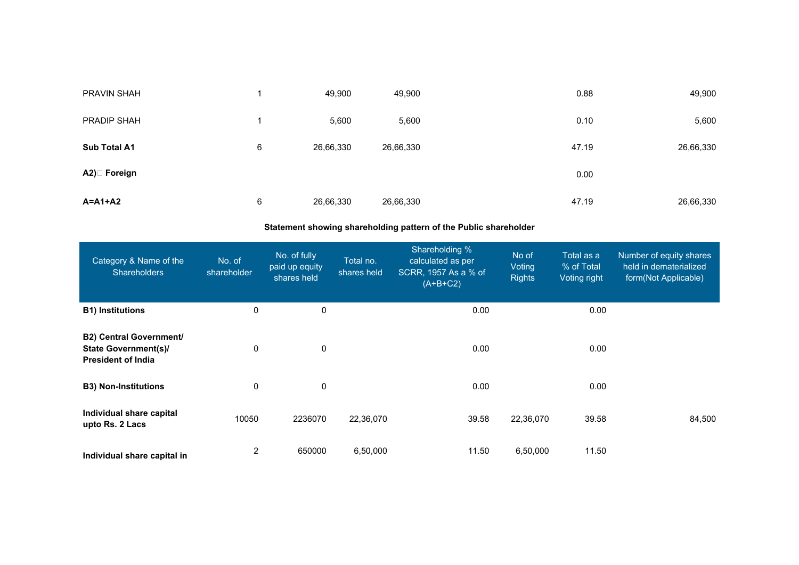| PRAVIN SHAH   |   | 49,900    | 49,900    | 0.88  | 49,900    |
|---------------|---|-----------|-----------|-------|-----------|
| PRADIP SHAH   |   | 5,600     | 5,600     | 0.10  | 5,600     |
| Sub Total A1  | 6 | 26,66,330 | 26,66,330 | 47.19 | 26,66,330 |
| A2) Foreign   |   |           |           | 0.00  |           |
| $A = A1 + A2$ | 6 | 26,66,330 | 26,66,330 | 47.19 | 26,66,330 |

## **Statement showing shareholding pattern of the Public shareholder**

| Category & Name of the<br><b>Shareholders</b>                                              | No. of<br>shareholder | No. of fully<br>paid up equity<br>shares held | Total no.<br>shares held | Shareholding %<br>calculated as per<br>SCRR, 1957 As a % of<br>$(A+B+C2)$ | No of<br>Voting<br><b>Rights</b> | Total as a<br>% of Total<br>Voting right | Number of equity shares<br>held in dematerialized<br>form(Not Applicable) |
|--------------------------------------------------------------------------------------------|-----------------------|-----------------------------------------------|--------------------------|---------------------------------------------------------------------------|----------------------------------|------------------------------------------|---------------------------------------------------------------------------|
| <b>B1) Institutions</b>                                                                    | 0                     | 0                                             |                          | 0.00                                                                      |                                  | 0.00                                     |                                                                           |
| <b>B2) Central Government/</b><br><b>State Government(s)/</b><br><b>President of India</b> | 0                     | 0                                             |                          | 0.00                                                                      |                                  | 0.00                                     |                                                                           |
| <b>B3) Non-Institutions</b>                                                                | 0                     | 0                                             |                          | 0.00                                                                      |                                  | 0.00                                     |                                                                           |
| Individual share capital<br>upto Rs. 2 Lacs                                                | 10050                 | 2236070                                       | 22,36,070                | 39.58                                                                     | 22,36,070                        | 39.58                                    | 84,500                                                                    |
| Individual share capital in                                                                | 2                     | 650000                                        | 6,50,000                 | 11.50                                                                     | 6,50,000                         | 11.50                                    |                                                                           |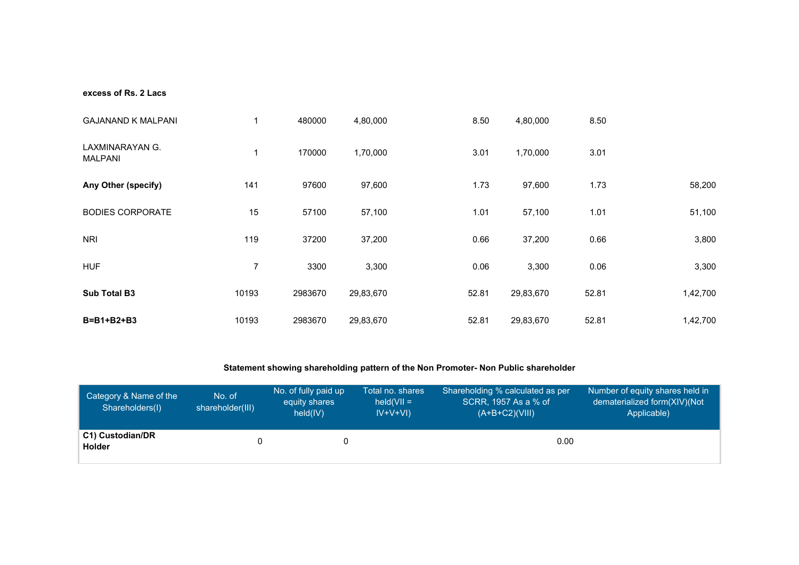#### **excess of Rs. 2 Lacs**

| <b>GAJANAND K MALPANI</b>         | 1     | 480000  | 4,80,000  | 8.50  | 4,80,000  | 8.50  |          |
|-----------------------------------|-------|---------|-----------|-------|-----------|-------|----------|
| LAXMINARAYAN G.<br><b>MALPANI</b> | 1     | 170000  | 1,70,000  | 3.01  | 1,70,000  | 3.01  |          |
| Any Other (specify)               | 141   | 97600   | 97,600    | 1.73  | 97,600    | 1.73  | 58,200   |
| <b>BODIES CORPORATE</b>           | 15    | 57100   | 57,100    | 1.01  | 57,100    | 1.01  | 51,100   |
| <b>NRI</b>                        | 119   | 37200   | 37,200    | 0.66  | 37,200    | 0.66  | 3,800    |
| <b>HUF</b>                        | 7     | 3300    | 3,300     | 0.06  | 3,300     | 0.06  | 3,300    |
| <b>Sub Total B3</b>               | 10193 | 2983670 | 29,83,670 | 52.81 | 29,83,670 | 52.81 | 1,42,700 |
| $B=B1+B2+B3$                      | 10193 | 2983670 | 29,83,670 | 52.81 | 29,83,670 | 52.81 | 1,42,700 |

# **Statement showing shareholding pattern of the Non Promoter- Non Public shareholder**

| Category & Name of the<br>Shareholders(I) | No. of<br>shareholder(III) | No. of fully paid up<br>equity shares<br>held(IV) | Total no. shares<br>$held(VII =$<br>$IV+V+VI)$ | Shareholding % calculated as per<br>SCRR, 1957 As a % of<br>$(A+B+C2)(VIII)$ | Number of equity shares held in<br>dematerialized form(XIV)(Not<br>Applicable) |
|-------------------------------------------|----------------------------|---------------------------------------------------|------------------------------------------------|------------------------------------------------------------------------------|--------------------------------------------------------------------------------|
| C1) Custodian/DR<br>Holder                |                            |                                                   |                                                | 0.00                                                                         |                                                                                |